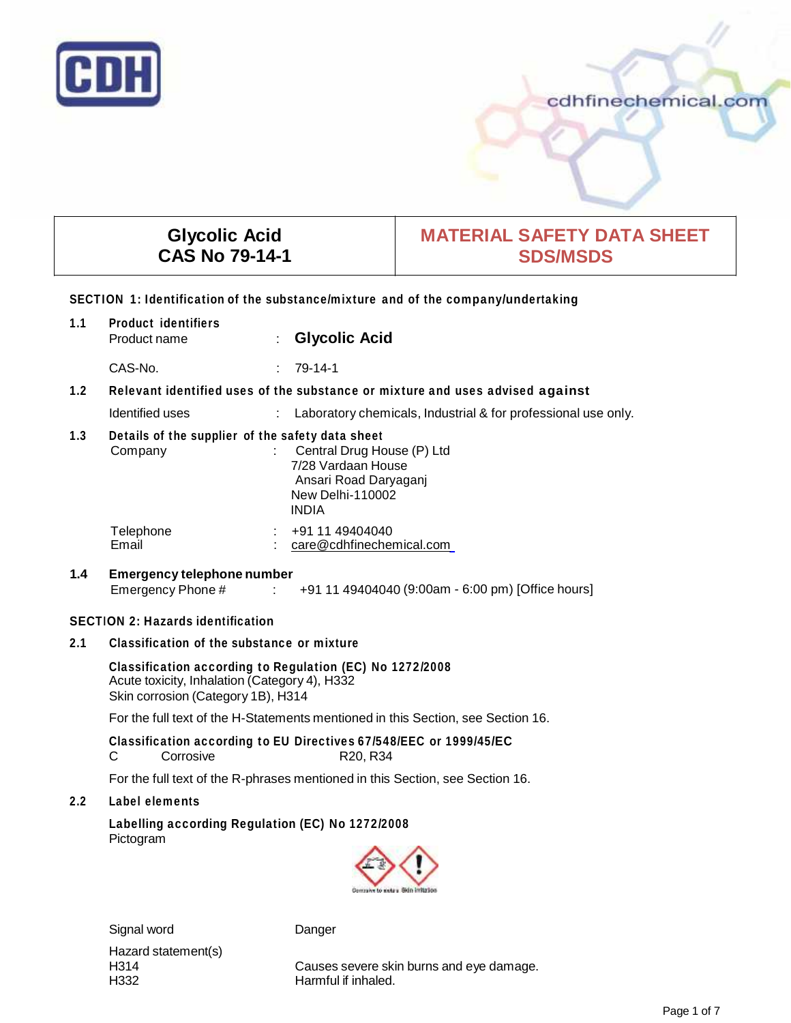

cdhfinechemical.com

| <b>Glycolic Acid</b><br><b>CAS No 79-14-1</b>                                                                             |                                                                                                                                                                                     |                                                  | <b>MATERIAL SAFETY DATA SHEET</b><br><b>SDS/MSDS</b>                              |
|---------------------------------------------------------------------------------------------------------------------------|-------------------------------------------------------------------------------------------------------------------------------------------------------------------------------------|--------------------------------------------------|-----------------------------------------------------------------------------------|
|                                                                                                                           |                                                                                                                                                                                     |                                                  | SECTION 1: Identification of the substance/mixture and of the company/undertaking |
| 1.1                                                                                                                       | <b>Product identifiers</b><br>Product name                                                                                                                                          | <b>Glycolic Acid</b>                             |                                                                                   |
|                                                                                                                           | CAS-No.                                                                                                                                                                             | $: 79-14-1$                                      |                                                                                   |
| 1.2                                                                                                                       |                                                                                                                                                                                     |                                                  | Relevant identified uses of the substance or mixture and uses advised against     |
|                                                                                                                           | Identified uses                                                                                                                                                                     |                                                  | Laboratory chemicals, Industrial & for professional use only.                     |
| $1.3$                                                                                                                     | Details of the supplier of the safety data sheet<br>Central Drug House (P) Ltd<br>Company<br>7/28 Vardaan House<br>Ansari Road Daryaganj<br><b>New Delhi-110002</b><br><b>INDIA</b> |                                                  |                                                                                   |
|                                                                                                                           | Telephone<br>Email                                                                                                                                                                  | +91 11 49404040<br>care@cdhfinechemical.com      |                                                                                   |
| 1.4                                                                                                                       | <b>Emergency telephone number</b><br>+91 11 49404040 (9:00am - 6:00 pm) [Office hours]<br>Emergency Phone #<br>$\sim 10^{11}$ MeV                                                   |                                                  |                                                                                   |
|                                                                                                                           | <b>SECTION 2: Hazards identification</b>                                                                                                                                            |                                                  |                                                                                   |
| 2.1                                                                                                                       | Classification of the substance or mixture                                                                                                                                          |                                                  |                                                                                   |
|                                                                                                                           | Classification according to Regulation (EC) No 1272/2008<br>Acute toxicity, Inhalation (Category 4), H332<br>Skin corrosion (Category 1B), H314                                     |                                                  |                                                                                   |
|                                                                                                                           | For the full text of the H-Statements mentioned in this Section, see Section 16.                                                                                                    |                                                  |                                                                                   |
| Classification according to EU Directives 67/548/EEC or 1999/45/EC<br>Corrosive<br>C<br>R <sub>20</sub> , R <sub>34</sub> |                                                                                                                                                                                     |                                                  |                                                                                   |
| For the full text of the R-phrases mentioned in this Section, see Section 16.                                             |                                                                                                                                                                                     |                                                  |                                                                                   |
| 2.2                                                                                                                       | Label elements                                                                                                                                                                      |                                                  |                                                                                   |
|                                                                                                                           | Pictogram                                                                                                                                                                           | Labelling according Regulation (EC) No 1272/2008 | Corrashe to meta's Skin initiation                                                |
|                                                                                                                           | Signal word                                                                                                                                                                         | Danger                                           |                                                                                   |

Hazard statement(s)<br>H314

H314 Causes severe skin burns and eye damage.<br>H332 H332 Harmful if inhaled. Harmful if inhaled.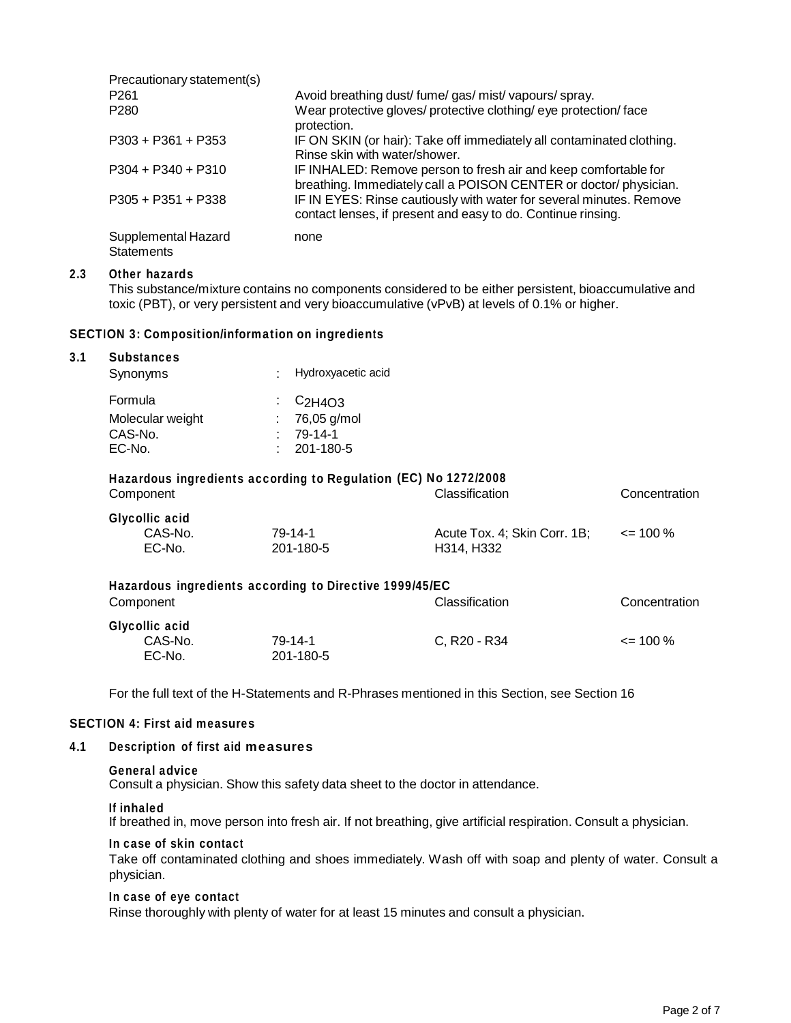| Precautionary statement(s)               |                                                                                                                                     |
|------------------------------------------|-------------------------------------------------------------------------------------------------------------------------------------|
| P <sub>261</sub>                         | Avoid breathing dust/fume/gas/mist/vapours/spray.                                                                                   |
| P <sub>280</sub>                         | Wear protective gloves/ protective clothing/ eye protection/ face<br>protection.                                                    |
| $P303 + P361 + P353$                     | IF ON SKIN (or hair): Take off immediately all contaminated clothing.<br>Rinse skin with water/shower.                              |
| $P304 + P340 + P310$                     | IF INHALED: Remove person to fresh air and keep comfortable for<br>breathing. Immediately call a POISON CENTER or doctor/physician. |
| $P305 + P351 + P338$                     | IF IN EYES: Rinse cautiously with water for several minutes. Remove<br>contact lenses, if present and easy to do. Continue rinsing. |
| Supplemental Hazard<br><b>Statements</b> | none                                                                                                                                |

#### **2.3 Other hazards**

This substance/mixture contains no components considered to be either persistent, bioaccumulative and toxic (PBT), or very persistent and very bioaccumulative (vPvB) at levels of 0.1% or higher.

# **SECTION 3: Composition/information on ingredients**

#### **3.1 Substances**

| Synonyms         | Hydroxyacetic acid<br>÷                                         |  |
|------------------|-----------------------------------------------------------------|--|
| Formula          | $\cdot$ C <sub>2H4O3</sub>                                      |  |
| Molecular weight | 76,05 g/mol                                                     |  |
| CAS-No.          | 79-14-1<br>٠.                                                   |  |
| EC-No.           | 201-180-5<br>÷.                                                 |  |
|                  |                                                                 |  |
|                  | Hazardous ingredients according to Regulation (EC) No 1272/2008 |  |

| Component                           |                      | Classification                             | Concentration |
|-------------------------------------|----------------------|--------------------------------------------|---------------|
| Glycollic acid<br>CAS-No.<br>EC-No. | 79-14-1<br>201-180-5 | Acute Tox. 4; Skin Corr. 1B;<br>H314. H332 | $\leq$ 100 %  |

| Hazardous ingredients according to Directive 1999/45/EC |           |                                      |               |  |
|---------------------------------------------------------|-----------|--------------------------------------|---------------|--|
| Component                                               |           | Classification                       | Concentration |  |
| Glycollic acid                                          |           |                                      |               |  |
| CAS-No.                                                 | 79-14-1   | C. R <sub>20</sub> - R <sub>34</sub> | $\leq$ 100 %  |  |
| EC-No.                                                  | 201-180-5 |                                      |               |  |

For the full text of the H-Statements and R-Phrases mentioned in this Section, see Section 16

#### **SECTION 4: First aid measures**

#### **4.1 Description of first aid measures**

#### **General advice**

Consult a physician. Show this safety data sheet to the doctor in attendance.

#### **If inhaled**

If breathed in, move person into fresh air. If not breathing, give artificial respiration. Consult a physician.

#### **In case of skin contact**

Take off contaminated clothing and shoes immediately. Wash off with soap and plenty of water. Consult a physician.

#### **In case of eye contact**

Rinse thoroughly with plenty of water for at least 15 minutes and consult a physician.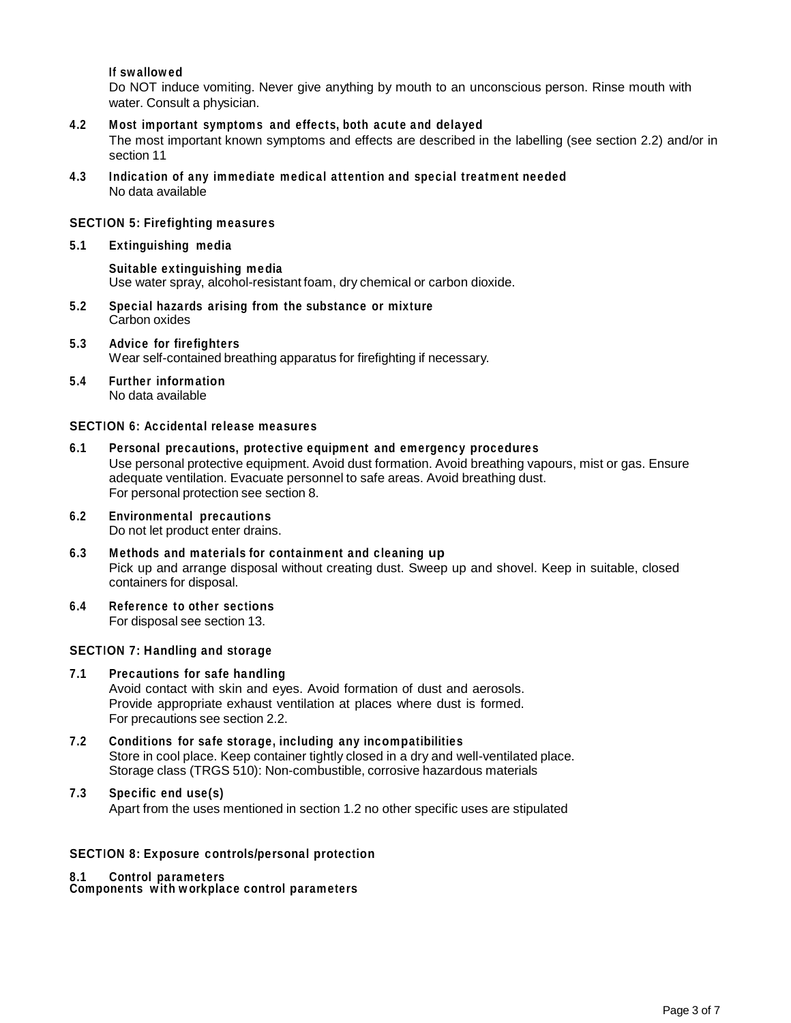## **If swallowed**

Do NOT induce vomiting. Never give anything by mouth to an unconscious person. Rinse mouth with water. Consult a physician.

- **4.2 Most important symptoms and effects, both acute and delayed** The most important known symptoms and effects are described in the labelling (see section 2.2) and/or in section 11
- **4.3 Indication of any immediate medical attention and special treatment needed** No data available

#### **SECTION 5: Firefighting measures**

**5.1 Extinguishing media**

**Suitable extinguishing media** Use water spray, alcohol-resistant foam, dry chemical or carbon dioxide.

- **5.2 Special hazards arising from the substance or mixture** Carbon oxides
- **5.3 Advice forfirefighters** Wear self-contained breathing apparatus for firefighting if necessary.
- **5.4 Further information** No data available

# **SECTION 6: Accidental release measures**

- **6.1 Personal precautions, protective equipment and emergency procedures** Use personal protective equipment. Avoid dust formation. Avoid breathing vapours, mist or gas. Ensure adequate ventilation. Evacuate personnel to safe areas. Avoid breathing dust. For personal protection see section 8.
- **6.2 Environmental precautions** Do not let product enter drains.
- **6.3 Methods and materials for containment and cleaning up** Pick up and arrange disposal without creating dust. Sweep up and shovel. Keep in suitable, closed containers for disposal.
- **6.4 Reference to other sections** For disposal see section 13.

#### **SECTION 7: Handling and storage**

- **7.1 Precautions for safe handling** Avoid contact with skin and eyes. Avoid formation of dust and aerosols. Provide appropriate exhaust ventilation at places where dust is formed. For precautions see section 2.2.
- **7.2 Conditions for safe storage, including any incompatibilities** Store in cool place. Keep container tightly closed in a dry and well-ventilated place. Storage class (TRGS 510): Non-combustible, corrosive hazardous materials

## **7.3 Specific end use(s)**

Apart from the uses mentioned in section 1.2 no other specific uses are stipulated

## **SECTION 8: Exposure controls/personal protection**

#### **8.1 Control parameters**

**Components with workplace control parameters**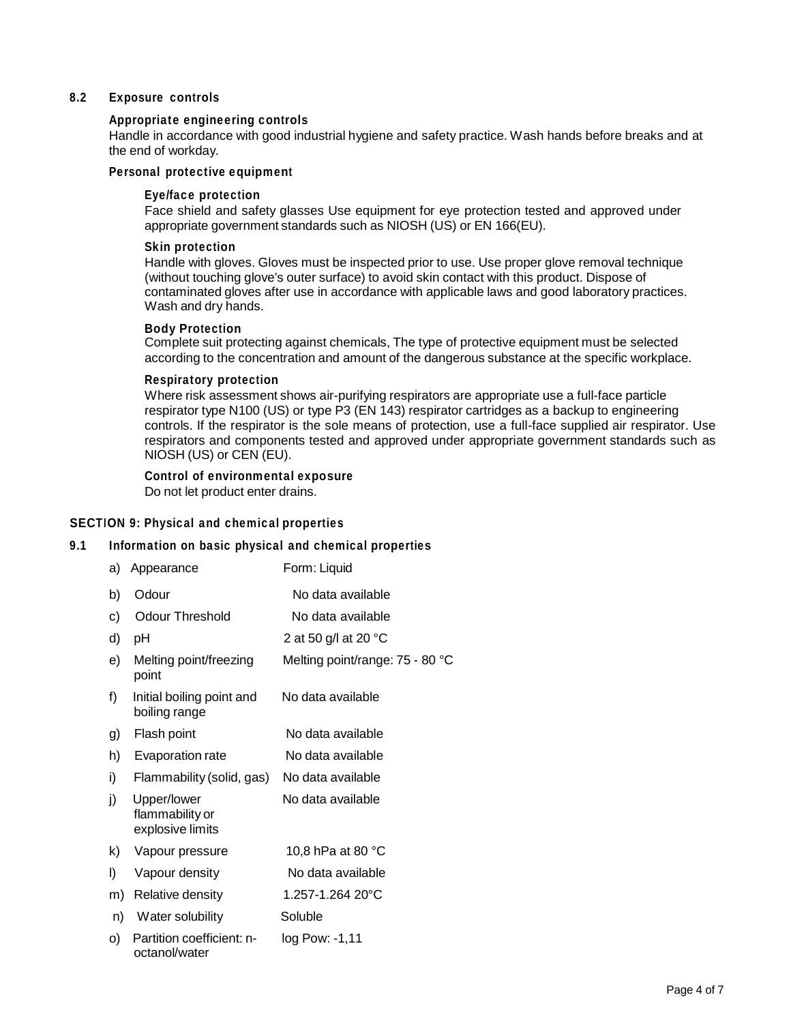## **8.2 Exposure controls**

#### **Appropriate engineering controls**

Handle in accordance with good industrial hygiene and safety practice. Wash hands before breaks and at the end of workday.

# **Personal protective equipment**

#### **Eye/face protection**

Face shield and safety glasses Use equipment for eye protection tested and approved under appropriate government standards such as NIOSH (US) or EN 166(EU).

#### **Skin protection**

Handle with gloves. Gloves must be inspected prior to use. Use proper glove removal technique (without touching glove's outer surface) to avoid skin contact with this product. Dispose of contaminated gloves after use in accordance with applicable laws and good laboratory practices. Wash and dry hands.

#### **Body Protection**

Complete suit protecting against chemicals, The type of protective equipment must be selected according to the concentration and amount of the dangerous substance at the specific workplace.

#### **Respiratory protection**

Where risk assessment shows air-purifying respirators are appropriate use a full-face particle respirator type N100 (US) or type P3 (EN 143) respirator cartridges as a backup to engineering controls. If the respirator is the sole means of protection, use a full-face supplied air respirator. Use respirators and components tested and approved under appropriate government standards such as NIOSH (US) or CEN (EU).

## **Control of environmental exposure**

Do not let product enter drains.

## **SECTION 9: Physical and chemical properties**

## **9.1 Information on basic physical and chemical properties**

| a) | Appearance                                         | Form: Liquid                    |
|----|----------------------------------------------------|---------------------------------|
| b) | Odour                                              | No data available               |
| C) | <b>Odour Threshold</b>                             | No data available               |
| d) | рH                                                 | 2 at 50 g/l at 20 °C            |
| e) | Melting point/freezing<br>point                    | Melting point/range: 75 - 80 °C |
| f) | Initial boiling point and<br>boiling range         | No data available               |
| g) | Flash point                                        | No data available               |
| h) | Evaporation rate                                   | No data available               |
| i) | Flammability (solid, gas)                          | No data available               |
| j) | Upper/lower<br>flammability or<br>explosive limits | No data available               |
| k) | Vapour pressure                                    | 10,8 hPa at 80 °C               |
| I) | Vapour density                                     | No data available               |
| m) | Relative density                                   | 1.257-1.264 20°C                |
| n) | Water solubility                                   | Soluble                         |
| O) | Partition coefficient: n-<br>octanol/water         | $log$ Pow: $-1,11$              |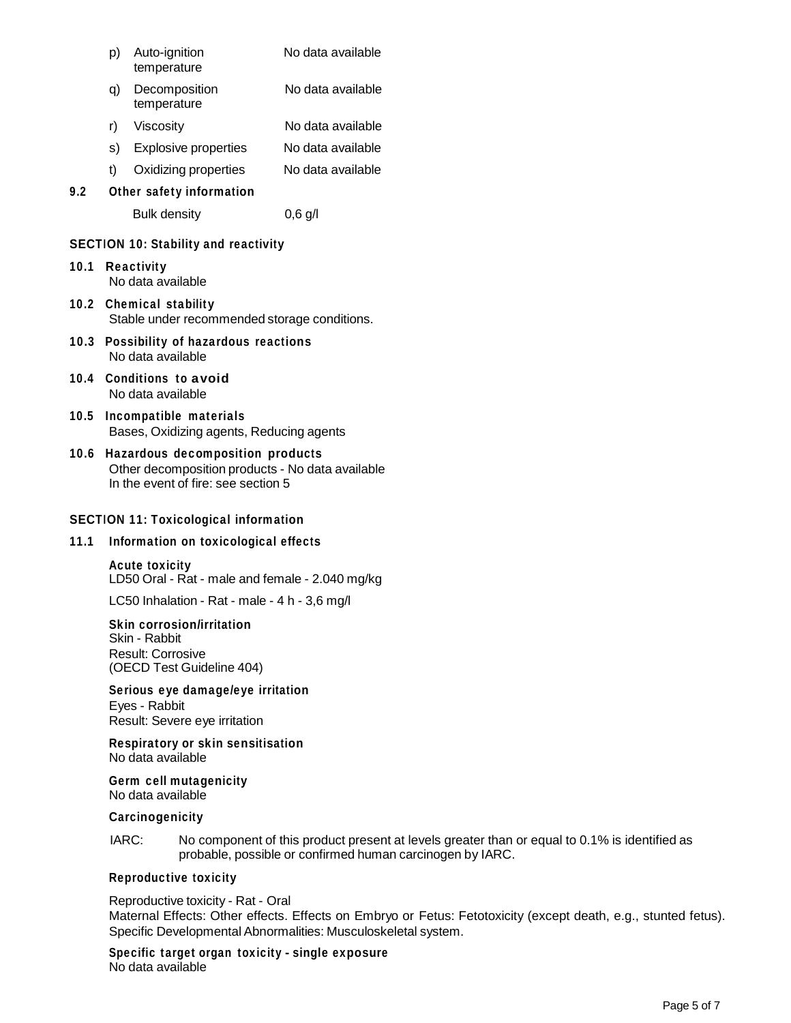|      | p) | Auto-ignition<br>temperature                | No data available |
|------|----|---------------------------------------------|-------------------|
|      | q) | Decomposition<br>temperature                | No data available |
|      | r) | Viscosity                                   | No data available |
|      | s) | Explosive properties                        | No data available |
|      | t) | Oxidizing properties                        | No data available |
| 9.2  |    | Other safety information                    |                   |
|      |    | <b>Bulk density</b>                         | $0,6$ g/l         |
|      |    | <b>SECTION 10: Stability and reactivity</b> |                   |
| 10.1 |    | <b>Reactivity</b><br>No data available      |                   |
|      |    | 10.2 Chemical stability                     |                   |

Stable under recommended storage conditions.

- **10.3 Possibility of hazardous reactions** No data available
- **10.4 Conditions to avoid** No data available
- **10.5 Incompatible materials** Bases, Oxidizing agents, Reducing agents
- **10.6 Hazardous decomposition products** Other decomposition products - No data available In the event of fire: see section 5

# **SECTION 11: Toxicological information**

## **11.1 Information on toxicological effects**

**Acute toxicity** LD50 Oral - Rat - male and female - 2.040 mg/kg

LC50 Inhalation - Rat - male - 4 h - 3,6 mg/l

**Skin corrosion/irritation** Skin - Rabbit Result: Corrosive (OECD Test Guideline 404)

**Serious eye damage/eye irritation** Eyes - Rabbit Result: Severe eye irritation

**Respiratory orskin sensitisation** No data available

**Germ cell mutagenicity** No data available

### **Carcinogenicity**

IARC: No component of this product present at levels greater than or equal to 0.1% is identified as probable, possible or confirmed human carcinogen by IARC.

## **Reproductive toxicity**

#### Reproductive toxicity - Rat - Oral

Maternal Effects: Other effects. Effects on Embryo or Fetus: Fetotoxicity (except death, e.g., stunted fetus). Specific Developmental Abnormalities: Musculoskeletal system.

**Specific target organ toxicity - single exposure** No data available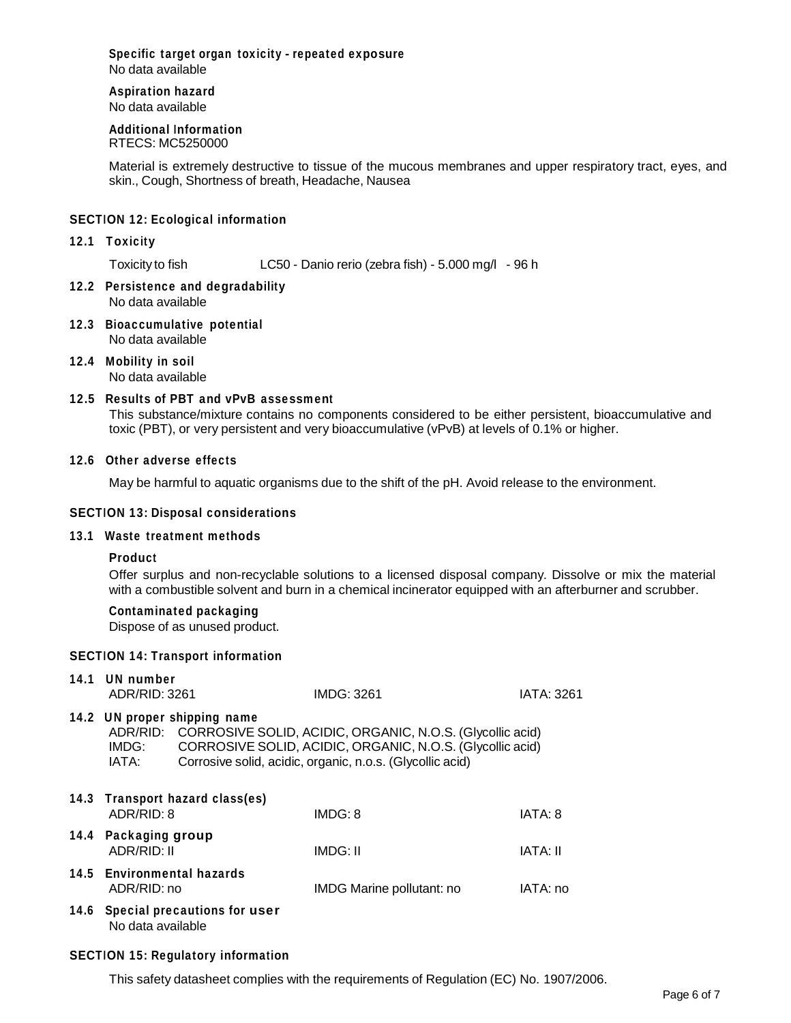#### **Specific target organ toxicity - repeated exposure** No data available

# **Aspiration hazard**

No data available

#### **Additional Information** RTECS: MC5250000

Material is extremely destructive to tissue of the mucous membranes and upper respiratory tract, eyes, and skin., Cough, Shortness of breath, Headache, Nausea

# **SECTION 12: Ecological information**

## **12.1 Toxicity**

Toxicity to fish LC50 - Danio rerio (zebra fish) - 5.000 mg/l - 96 h

- **12.2 Persistence and degradability** No data available
- **12.3 Bioaccumulative potential** No data available
- **12.4 Mobility in soil** No data available

# **12.5 Results of PBT and vPvB assessment**

This substance/mixture contains no components considered to be either persistent, bioaccumulative and toxic (PBT), or very persistent and very bioaccumulative (vPvB) at levels of 0.1% or higher.

## **12.6 Other adverse effects**

May be harmful to aquatic organisms due to the shift of the pH. Avoid release to the environment.

# **SECTION 13: Disposal considerations**

## **13.1 Waste treatment methods**

## **Product**

Offer surplus and non-recyclable solutions to a licensed disposal company. Dissolve or mix the material with a combustible solvent and burn in a chemical incinerator equipped with an afterburner and scrubber.

## **Contaminated packaging**

Dispose of as unused product.

## **SECTION 14: Transport information**

| 14.1 | UN number<br>ADR/RID: 3261                |                                   | <b>IMDG: 3261</b>                                                                                                                                                                            | <b>IATA: 3261</b> |
|------|-------------------------------------------|-----------------------------------|----------------------------------------------------------------------------------------------------------------------------------------------------------------------------------------------|-------------------|
|      | IMDG:<br>IATA:                            | 14.2 UN proper shipping name      | ADR/RID: CORROSIVE SOLID, ACIDIC, ORGANIC, N.O.S. (Glycollic acid)<br>CORROSIVE SOLID, ACIDIC, ORGANIC, N.O.S. (Glycollic acid)<br>Corrosive solid, acidic, organic, n.o.s. (Glycollic acid) |                   |
|      | ADR/RID: 8                                | 14.3 Transport hazard class(es)   | IMDG: 8                                                                                                                                                                                      | IATA: 8           |
|      | 14.4 Packaging group<br>ADR/RID: II       |                                   | IMDG: II                                                                                                                                                                                     | IATA: II          |
|      | 14.5 Environmental hazards<br>ADR/RID: no |                                   | IMDG Marine pollutant: no                                                                                                                                                                    | IATA: no          |
|      | No data available                         | 14.6 Special precautions for user |                                                                                                                                                                                              |                   |

## **SECTION 15: Regulatory information**

This safety datasheet complies with the requirements of Regulation (EC) No. 1907/2006.